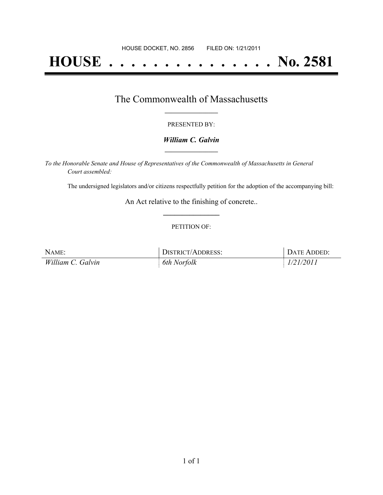# **HOUSE . . . . . . . . . . . . . . . No. 2581**

### The Commonwealth of Massachusetts **\_\_\_\_\_\_\_\_\_\_\_\_\_\_\_\_\_**

#### PRESENTED BY:

#### *William C. Galvin* **\_\_\_\_\_\_\_\_\_\_\_\_\_\_\_\_\_**

*To the Honorable Senate and House of Representatives of the Commonwealth of Massachusetts in General Court assembled:*

The undersigned legislators and/or citizens respectfully petition for the adoption of the accompanying bill:

An Act relative to the finishing of concrete.. **\_\_\_\_\_\_\_\_\_\_\_\_\_\_\_**

#### PETITION OF:

| NAME:             | DISTRICT/ADDRESS: | DATE ADDED: |
|-------------------|-------------------|-------------|
| William C. Galvin | 6th Norfolk       | 1/21/2011   |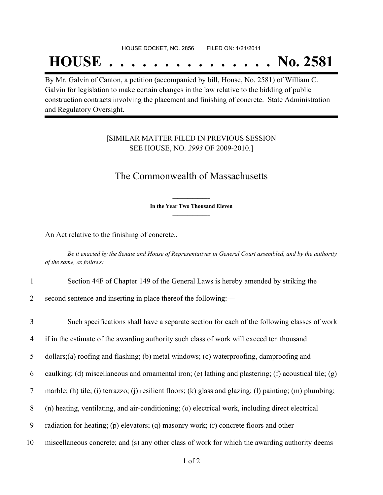## **HOUSE . . . . . . . . . . . . . . . No. 2581**

By Mr. Galvin of Canton, a petition (accompanied by bill, House, No. 2581) of William C. Galvin for legislation to make certain changes in the law relative to the bidding of public construction contracts involving the placement and finishing of concrete. State Administration and Regulatory Oversight.

#### [SIMILAR MATTER FILED IN PREVIOUS SESSION SEE HOUSE, NO. *2993* OF 2009-2010.]

## The Commonwealth of Massachusetts

**\_\_\_\_\_\_\_\_\_\_\_\_\_\_\_ In the Year Two Thousand Eleven \_\_\_\_\_\_\_\_\_\_\_\_\_\_\_**

An Act relative to the finishing of concrete..

Be it enacted by the Senate and House of Representatives in General Court assembled, and by the authority *of the same, as follows:*

- 1 Section 44F of Chapter 149 of the General Laws is hereby amended by striking the
- 2 second sentence and inserting in place thereof the following:—
- 3 Such specifications shall have a separate section for each of the following classes of work 4 if in the estimate of the awarding authority such class of work will exceed ten thousand 5 dollars;(a) roofing and flashing; (b) metal windows; (c) waterproofing, damproofing and 6 caulking; (d) miscellaneous and ornamental iron; (e) lathing and plastering; (f) acoustical tile; (g) 7 marble; (h) tile; (i) terrazzo; (j) resilient floors; (k) glass and glazing; (l) painting; (m) plumbing; 8 (n) heating, ventilating, and air-conditioning; (o) electrical work, including direct electrical 9 radiation for heating; (p) elevators; (q) masonry work; (r) concrete floors and other 10 miscellaneous concrete; and (s) any other class of work for which the awarding authority deems